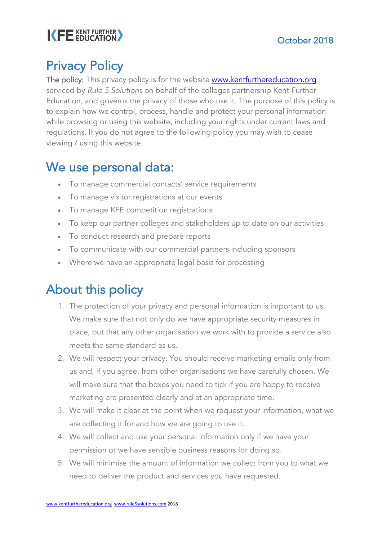# KFE EDUCATION

## Privacy Policy

The policy: This privacy policy is for the website www.kentfurthereducation.org serviced by *Rule 5 Solutions* on behalf of the colleges partnership Kent Further Education, and governs the privacy of those who use it. The purpose of this policy is to explain how we control, process, handle and protect your personal information while browsing or using this website, including your rights under current laws and regulations. If you do not agree to the following policy you may wish to cease viewing / using this website.

#### We use personal data:

- To manage commercial contacts' service requirements
- To manage visitor registrations at our events
- To manage KFE competition registrations
- To keep our partner colleges and stakeholders up to date on our activities
- To conduct research and prepare reports
- To communicate with our commercial partners including sponsors
- Where we have an appropriate legal basis for processing

## About this policy

- 1. The protection of your privacy and personal information is important to us. We make sure that not only do we have appropriate security measures in place, but that any other organisation we work with to provide a service also meets the same standard as us.
- 2. We will respect your privacy. You should receive marketing emails only from us and, if you agree, from other organisations we have carefully chosen. We will make sure that the boxes you need to tick if you are happy to receive marketing are presented clearly and at an appropriate time.
- 3. We will make it clear at the point when we request your information, what we are collecting it for and how we are going to use it.
- 4. We will collect and use your personal information only if we have your permission or we have sensible business reasons for doing so.
- 5. We will minimise the amount of information we collect from you to what we need to deliver the product and services you have requested.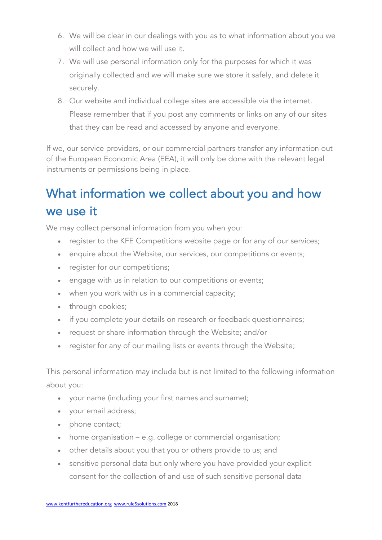- 6. We will be clear in our dealings with you as to what information about you we will collect and how we will use it.
- 7. We will use personal information only for the purposes for which it was originally collected and we will make sure we store it safely, and delete it securely.
- 8. Our website and individual college sites are accessible via the internet. Please remember that if you post any comments or links on any of our sites that they can be read and accessed by anyone and everyone.

If we, our service providers, or our commercial partners transfer any information out of the European Economic Area (EEA), it will only be done with the relevant legal instruments or permissions being in place.

## What information we collect about you and how we use it

We may collect personal information from you when you:

- register to the KFE Competitions website page or for any of our services;
- enquire about the Website, our services, our competitions or events;
- register for our competitions;
- engage with us in relation to our competitions or events;
- when you work with us in a commercial capacity;
- through cookies;
- if you complete your details on research or feedback questionnaires;
- request or share information through the Website; and/or
- register for any of our mailing lists or events through the Website;

This personal information may include but is not limited to the following information about you:

- your name (including your first names and surname);
- your email address;
- phone contact;
- home organisation e.g. college or commercial organisation;
- other details about you that you or others provide to us; and
- sensitive personal data but only where you have provided your explicit consent for the collection of and use of such sensitive personal data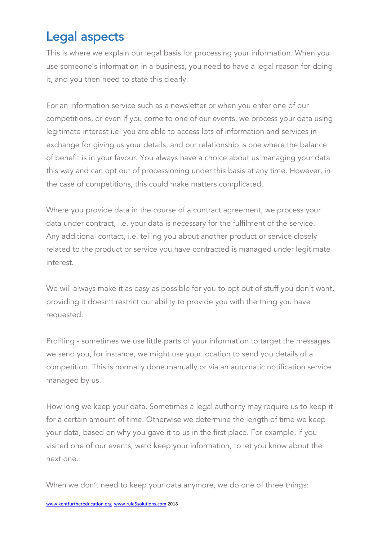### Legal aspects

This is where we explain our legal basis for processing your information. When you use someone's information in a business, you need to have a legal reason for doing it, and you then need to state this clearly.

For an information service such as a newsletter or when you enter one of our competitions, or even if you come to one of our events, we process your data using legitimate interest i.e. you are able to access lots of information and services in exchange for giving us your details, and our relationship is one where the balance of benefit is in your favour. You always have a choice about us managing your data this way and can opt out of processioning under this basis at any time. However, in the case of competitions, this could make matters complicated.

Where you provide data in the course of a contract agreement, we process your data under contract, i.e. your data is necessary for the fulfilment of the service. Any additional contact, i.e. telling you about another product or service closely related to the product or service you have contracted is managed under legitimate interest.

We will always make it as easy as possible for you to opt out of stuff you don't want, providing it doesn't restrict our ability to provide you with the thing you have requested.

Profiling - sometimes we use little parts of your information to target the messages we send you, for instance, we might use your location to send you details of a competition. This is normally done manually or via an automatic notification service managed by us.

How long we keep your data. Sometimes a legal authority may require us to keep it for a certain amount of time. Otherwise we determine the length of time we keep your data, based on why you gave it to us in the first place. For example, if you visited one of our events, we'd keep your information, to let you know about the next one.

When we don't need to keep your data anymore, we do one of three things: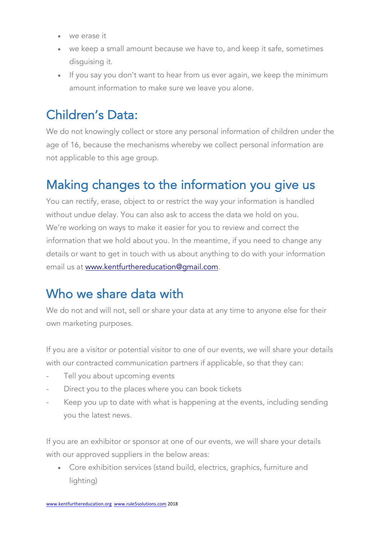- we erase it
- we keep a small amount because we have to, and keep it safe, sometimes disguising it.
- If you say you don't want to hear from us ever again, we keep the minimum amount information to make sure we leave you alone.

## Children's Data:

We do not knowingly collect or store any personal information of children under the age of 16, because the mechanisms whereby we collect personal information are not applicable to this age group.

### Making changes to the information you give us

You can rectify, erase, object to or restrict the way your information is handled without undue delay. You can also ask to access the data we hold on you. We're working on ways to make it easier for you to review and correct the information that we hold about you. In the meantime, if you need to change any details or want to get in touch with us about anything to do with your information email us at www.kentfurthereducation@gmail.com.

#### Who we share data with

We do not and will not, sell or share your data at any time to anyone else for their own marketing purposes.

If you are a visitor or potential visitor to one of our events, we will share your details with our contracted communication partners if applicable, so that they can:

- Tell you about upcoming events
- Direct you to the places where you can book tickets
- Keep you up to date with what is happening at the events, including sending you the latest news.

If you are an exhibitor or sponsor at one of our events, we will share your details with our approved suppliers in the below areas:

• Core exhibition services (stand build, electrics, graphics, furniture and lighting)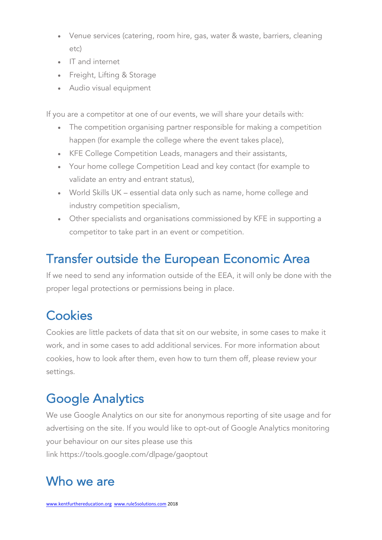- Venue services (catering, room hire, gas, water & waste, barriers, cleaning etc)
- IT and internet
- Freight, Lifting & Storage
- Audio visual equipment

If you are a competitor at one of our events, we will share your details with:

- The competition organising partner responsible for making a competition happen (for example the college where the event takes place),
- KFE College Competition Leads, managers and their assistants,
- Your home college Competition Lead and key contact (for example to validate an entry and entrant status),
- World Skills UK essential data only such as name, home college and industry competition specialism,
- Other specialists and organisations commissioned by KFE in supporting a competitor to take part in an event or competition.

#### Transfer outside the European Economic Area

If we need to send any information outside of the EEA, it will only be done with the proper legal protections or permissions being in place.

## **Cookies**

Cookies are little packets of data that sit on our website, in some cases to make it work, and in some cases to add additional services. For more information about cookies, how to look after them, even how to turn them off, please review your settings.

## Google Analytics

We use Google Analytics on our site for anonymous reporting of site usage and for advertising on the site. If you would like to opt-out of Google Analytics monitoring your behaviour on our sites please use this link https://tools.google.com/dlpage/gaoptout

### Who we are